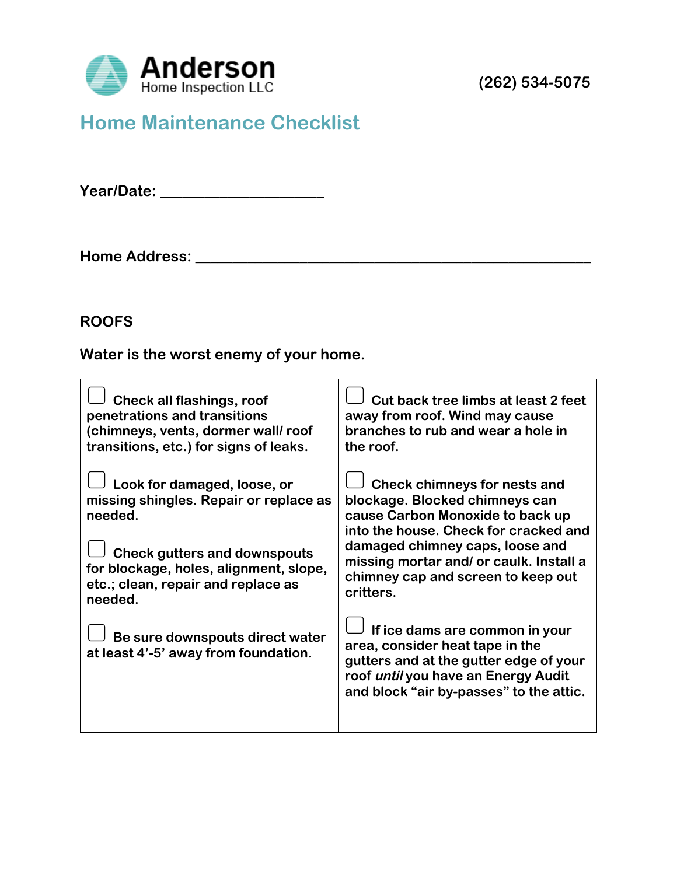

# **Home Maintenance Checklist**

**Year/Date: \_\_\_\_\_\_\_\_\_\_\_\_\_\_\_\_\_\_\_\_\_\_**

**Home Address: \_\_\_\_\_\_\_\_\_\_\_\_\_\_\_\_\_\_\_\_\_\_\_\_\_\_\_\_\_\_\_\_\_\_\_\_\_\_\_\_\_\_\_\_\_\_\_\_\_\_\_\_\_**

#### **ROOFS**

**Water is the worst enemy of your home.**

| <b>Check all flashings, roof</b><br>penetrations and transitions<br>(chimneys, vents, dormer wall/roof<br>transitions, etc.) for signs of leaks.                                                                   | Cut back tree limbs at least 2 feet<br>away from roof. Wind may cause<br>branches to rub and wear a hole in<br>the roof.                                                                                                                                                            |
|--------------------------------------------------------------------------------------------------------------------------------------------------------------------------------------------------------------------|-------------------------------------------------------------------------------------------------------------------------------------------------------------------------------------------------------------------------------------------------------------------------------------|
| Look for damaged, loose, or<br>missing shingles. Repair or replace as<br>needed.<br><b>Check gutters and downspouts</b><br>for blockage, holes, alignment, slope,<br>etc.; clean, repair and replace as<br>needed. | <b>Check chimneys for nests and</b><br>blockage. Blocked chimneys can<br>cause Carbon Monoxide to back up<br>into the house. Check for cracked and<br>damaged chimney caps, loose and<br>missing mortar and/ or caulk. Install a<br>chimney cap and screen to keep out<br>critters. |
| Be sure downspouts direct water<br>at least 4'-5' away from foundation.                                                                                                                                            | If ice dams are common in your<br>area, consider heat tape in the<br>gutters and at the gutter edge of your<br>roof until you have an Energy Audit<br>and block "air by-passes" to the attic.                                                                                       |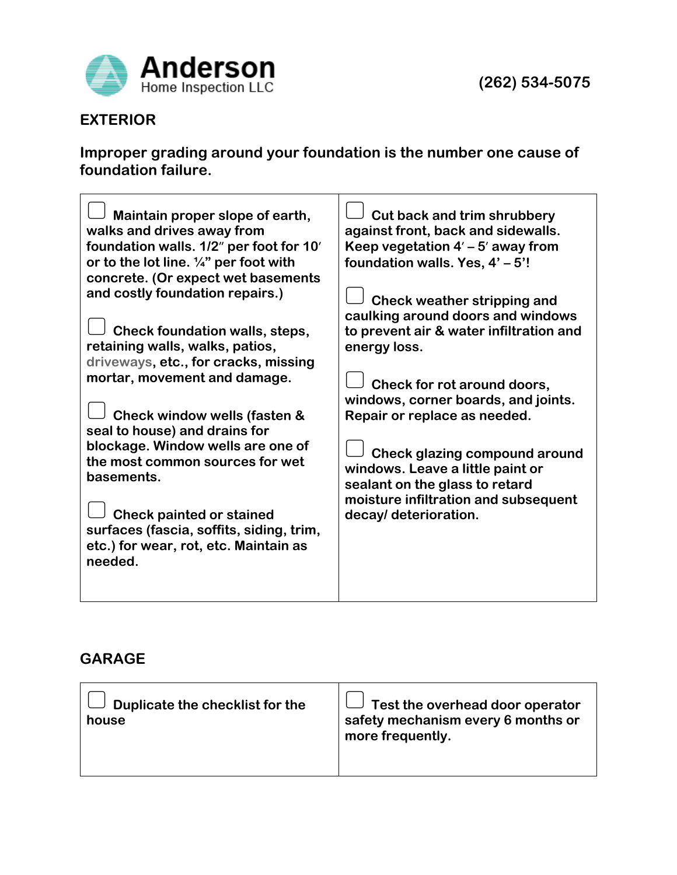

# **EXTERIOR**

**Improper grading around your foundation is the number one cause of foundation failure.**

| Maintain proper slope of earth,<br>walks and drives away from<br>foundation walls. 1/2" per foot for 10'<br>or to the lot line. 1/4" per foot with<br>concrete. (Or expect wet basements<br>and costly foundation repairs.)<br>Check foundation walls, steps,<br>retaining walls, walks, patios,<br>energy loss.<br>driveways, etc., for cracks, missing<br>mortar, movement and damage.<br>Check window wells (fasten &<br>seal to house) and drains for<br>blockage. Window wells are one of<br>the most common sources for wet<br>basements.<br><b>Check painted or stained</b><br>surfaces (fascia, soffits, siding, trim,<br>etc.) for wear, rot, etc. Maintain as<br>needed. | <b>Cut back and trim shrubbery</b><br>against front, back and sidewalls.<br>Keep vegetation $4'$ – 5' away from<br>foundation walls. Yes, 4' - 5'!<br>Check weather stripping and<br>caulking around doors and windows<br>to prevent air & water infiltration and<br>Check for rot around doors,<br>windows, corner boards, and joints.<br>Repair or replace as needed.<br>Check glazing compound around<br>windows. Leave a little paint or<br>sealant on the glass to retard<br>moisture infiltration and subsequent<br>decay/ deterioration. |
|------------------------------------------------------------------------------------------------------------------------------------------------------------------------------------------------------------------------------------------------------------------------------------------------------------------------------------------------------------------------------------------------------------------------------------------------------------------------------------------------------------------------------------------------------------------------------------------------------------------------------------------------------------------------------------|-------------------------------------------------------------------------------------------------------------------------------------------------------------------------------------------------------------------------------------------------------------------------------------------------------------------------------------------------------------------------------------------------------------------------------------------------------------------------------------------------------------------------------------------------|
|------------------------------------------------------------------------------------------------------------------------------------------------------------------------------------------------------------------------------------------------------------------------------------------------------------------------------------------------------------------------------------------------------------------------------------------------------------------------------------------------------------------------------------------------------------------------------------------------------------------------------------------------------------------------------------|-------------------------------------------------------------------------------------------------------------------------------------------------------------------------------------------------------------------------------------------------------------------------------------------------------------------------------------------------------------------------------------------------------------------------------------------------------------------------------------------------------------------------------------------------|

# **GARAGE**

| $\Box$ Duplicate the checklist for the<br>house | $\Box$ Test the overhead door operator<br>safety mechanism every 6 months or<br>more frequently. |
|-------------------------------------------------|--------------------------------------------------------------------------------------------------|
|                                                 |                                                                                                  |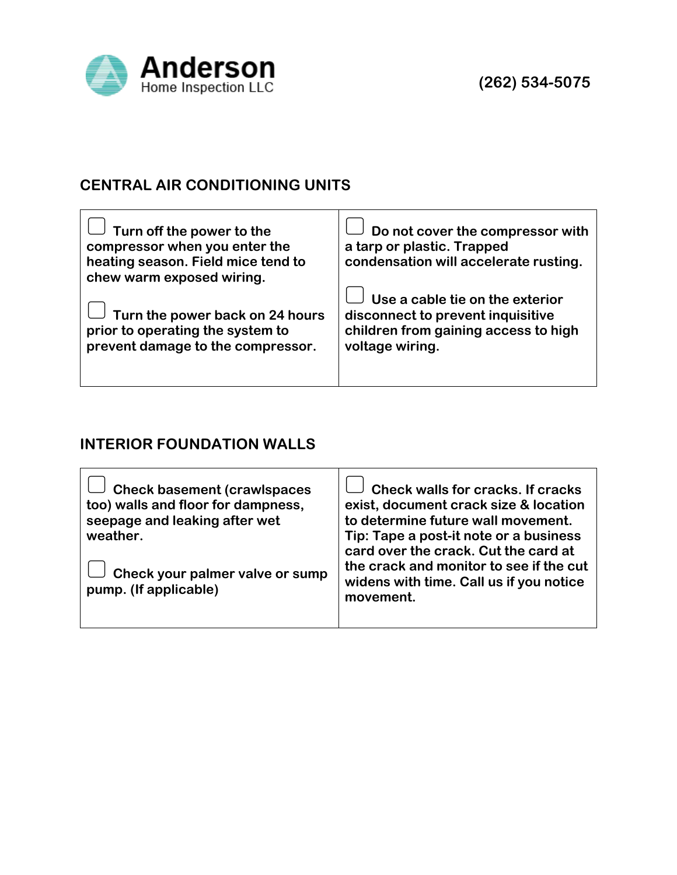

## **CENTRAL AIR CONDITIONING UNITS**

| $\Box$ Turn off the power to the<br>compressor when you enter the<br>heating season. Field mice tend to<br>chew warm exposed wiring.                           | Do not cover the compressor with<br>a tarp or plastic. Trapped<br>condensation will accelerate rusting.                         |
|----------------------------------------------------------------------------------------------------------------------------------------------------------------|---------------------------------------------------------------------------------------------------------------------------------|
| $\cup\hspace{0.1cm}\rule{0.7pt}{0.8pt}\hspace{0.1cm}$ Turn the power back on 24 hours<br>prior to operating the system to<br>prevent damage to the compressor. | Use a cable tie on the exterior<br>disconnect to prevent inquisitive<br>children from gaining access to high<br>voltage wiring. |

#### **INTERIOR FOUNDATION WALLS**

| <b>Check basement (crawlspaces</b><br>too) walls and floor for dampness.<br>seepage and leaking after wet<br>weather.<br>Check your palmer valve or sump<br>pump. (If applicable) | <b>Check walls for cracks. If cracks</b><br>exist, document crack size & location<br>to determine future wall movement.<br>Tip: Tape a post-it note or a business<br>card over the crack. Cut the card at<br>the crack and monitor to see if the cut<br>widens with time. Call us if you notice<br>movement. |
|-----------------------------------------------------------------------------------------------------------------------------------------------------------------------------------|--------------------------------------------------------------------------------------------------------------------------------------------------------------------------------------------------------------------------------------------------------------------------------------------------------------|
|-----------------------------------------------------------------------------------------------------------------------------------------------------------------------------------|--------------------------------------------------------------------------------------------------------------------------------------------------------------------------------------------------------------------------------------------------------------------------------------------------------------|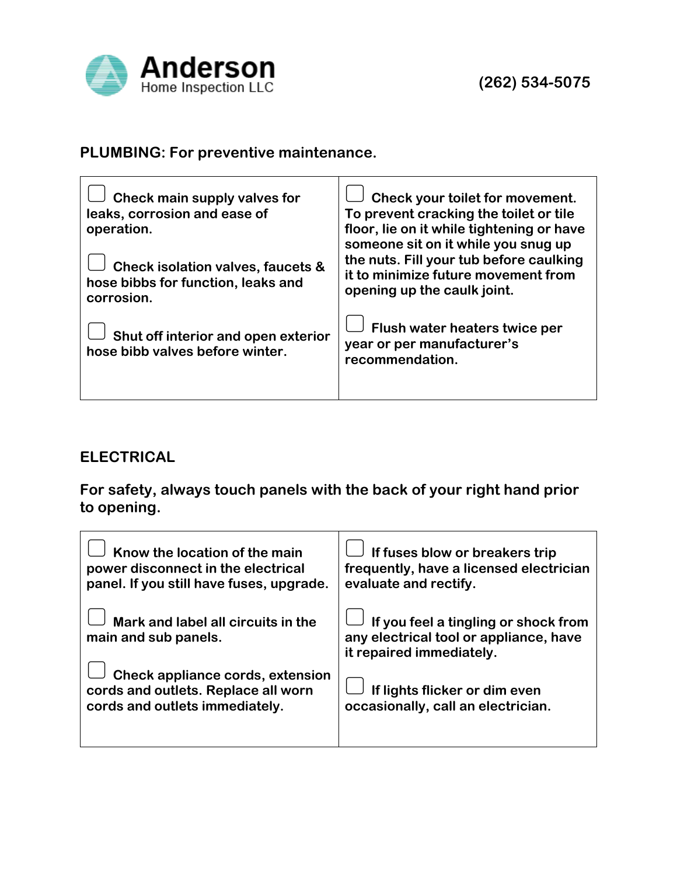

# **PLUMBING: For preventive maintenance.**

| Check main supply valves for<br>leaks, corrosion and ease of<br>operation.                       | Check your toilet for movement.<br>To prevent cracking the toilet or tile<br>floor, lie on it while tightening or have<br>someone sit on it while you snug up |
|--------------------------------------------------------------------------------------------------|---------------------------------------------------------------------------------------------------------------------------------------------------------------|
| <b>Check isolation valves, faucets &amp;</b><br>hose bibbs for function, leaks and<br>corrosion. | the nuts. Fill your tub before caulking<br>it to minimize future movement from<br>opening up the caulk joint.                                                 |
| Shut off interior and open exterior<br>hose bibb valves before winter.                           | Flush water heaters twice per<br>year or per manufacturer's<br>recommendation.                                                                                |

## **ELECTRICAL**

**For safety, always touch panels with the back of your right hand prior to opening.**

| Know the location of the main<br>power disconnect in the electrical<br>panel. If you still have fuses, upgrade. | If fuses blow or breakers trip<br>frequently, have a licensed electrician<br>evaluate and rectify.         |
|-----------------------------------------------------------------------------------------------------------------|------------------------------------------------------------------------------------------------------------|
| Mark and label all circuits in the<br>main and sub panels.                                                      | If you feel a tingling or shock from<br>any electrical tool or appliance, have<br>it repaired immediately. |
| Check appliance cords, extension<br>cords and outlets. Replace all worn<br>cords and outlets immediately.       | If lights flicker or dim even<br>occasionally, call an electrician.                                        |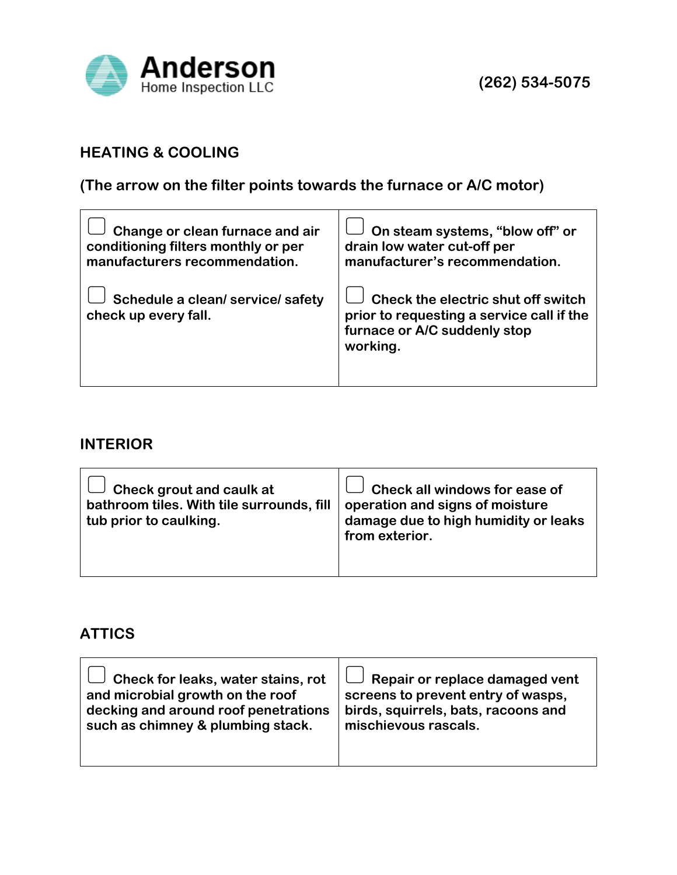

## **HEATING & COOLING**

**(The arrow on the filter points towards the furnace or A/C motor)**

| Change or clean furnace and air                           | On steam systems, "blow off" or                                                                                             |
|-----------------------------------------------------------|-----------------------------------------------------------------------------------------------------------------------------|
| conditioning filters monthly or per                       | drain low water cut-off per                                                                                                 |
| manufacturers recommendation.                             | manufacturer's recommendation.                                                                                              |
| Schedule a clean/ service/ safety<br>check up every fall. | Check the electric shut off switch<br>prior to requesting a service call if the<br>furnace or A/C suddenly stop<br>working. |

#### **INTERIOR**

| $\Box$ Check grout and caulk at<br>bathroom tiles. With tile surrounds, fill<br>tub prior to caulking. | Check all windows for ease of<br>operation and signs of moisture<br>damage due to high humidity or leaks<br>from exterior. |
|--------------------------------------------------------------------------------------------------------|----------------------------------------------------------------------------------------------------------------------------|
|                                                                                                        |                                                                                                                            |

# **ATTICS**

| $\Box$ Check for leaks, water stains, rot | $\Box$ Repair or replace damaged vent |
|-------------------------------------------|---------------------------------------|
| and microbial growth on the roof          | screens to prevent entry of wasps,    |
| decking and around roof penetrations      | birds, squirrels, bats, racoons and   |
| such as chimney & plumbing stack.         | mischievous rascals.                  |